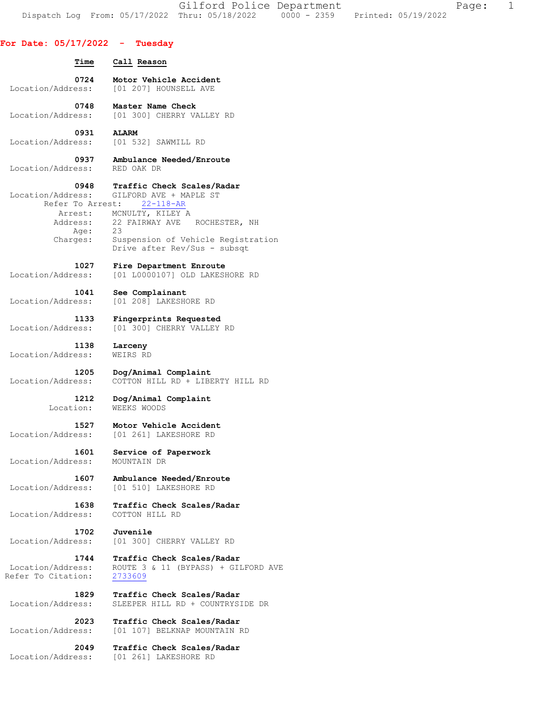Gilford Police Department Fage: 1 Dispatch Log From: 05/17/2022 Thru: 05/18/2022 0000 - 2359 Printed: 05/19/2022

## **For Date: 05/17/2022 - Tuesday**

 **Time Call Reason 0724 Motor Vehicle Accident**  Location/Address: [01 207] HOUNSELL AVE  **0748 Master Name Check**  Location/Address: [01 300] CHERRY VALLEY RD  **0931 ALARM**  Location/Address: [01 532] SAWMILL RD  **0937 Ambulance Needed/Enroute**  Location/Address: RED OAK DR  **0948 Traffic Check Scales/Radar**  Location/Address: GILFORD AVE + MAPLE ST Refer To Arrest: 22-118-AR Arrest: MCNULTY, KILEY A Address: 22 FAIRWAY AVE ROCHESTER, NH Age: 23<br>Charges: Sus Suspension of Vehicle Registration Drive after Rev/Sus - subsqt  **1027 Fire Department Enroute**  Location/Address: [01 L0000107] OLD LAKESHORE RD  **1041 See Complainant**  Location/Address: [01 208] LAKESHORE RD  **1133 Fingerprints Requested**  Location/Address: [01 300] CHERRY VALLEY RD  **1138 Larceny**  Location/Address: WEIRS RD  **1205 Dog/Animal Complaint**  Location/Address: COTTON HILL RD + LIBERTY HILL RD  **1212 Dog/Animal Complaint**  Location: WEEKS WOODS  **1527 Motor Vehicle Accident**  Location/Address: [01 261] LAKESHORE RD  **1601 Service of Paperwork**  Location/Address: MOUNTAIN DR  **1607 Ambulance Needed/Enroute**  Location/Address: [01 510] LAKESHORE RD  **1638 Traffic Check Scales/Radar**  Location/Address: COTTON HILL RD  **1702 Juvenile**  Location/Address: [01 300] CHERRY VALLEY RD  **1744 Traffic Check Scales/Radar**  Location/Address: ROUTE 3 & 11 (BYPASS) + GILFORD AVE<br>Refer To Citation: 2733609 Refer To Citation:  **1829 Traffic Check Scales/Radar**  Location/Address: SLEEPER HILL RD + COUNTRYSIDE DR **2023 Traffic Check Scales/Radar** Location/Address: [01 107] BELKNAP MOUNTAIN I [01 107] BELKNAP MOUNTAIN RD  **2049 Traffic Check Scales/Radar** 

Location/Address: [01 261] LAKESHORE RD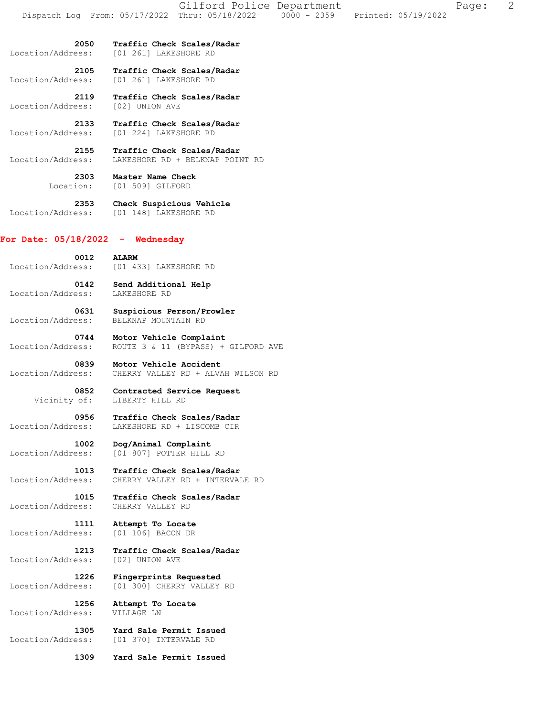**2050 Traffic Check Scales/Radar**  Location/Address: [01 261] LAKESHORE RD

 **2105 Traffic Check Scales/Radar**  Location/Address: [01 261] LAKESHORE RD

 **2119 Traffic Check Scales/Radar**  Location/Address: [02] UNION AVE

 **2133 Traffic Check Scales/Radar**  Location/Address: [01 224] LAKESHORE RD

 **2155 Traffic Check Scales/Radar**  Location/Address: LAKESHORE RD + BELKNAP POINT RD

 **2303 Master Name Check**  Location: [01 509] GILFORD

 **2353 Check Suspicious Vehicle**  Location/Address: [01 148] LAKESHORE RD

## **For Date: 05/18/2022 - Wednesday**

 **0012 ALARM**  Location/Address: [01 433] LAKESHORE RD

 **0142 Send Additional Help**  Location/Address: LAKESHORE RD

 **0631 Suspicious Person/Prowler**  Location/Address: BELKNAP MOUNTAIN RD

 **0744 Motor Vehicle Complaint**  Location/Address: ROUTE 3 & 11 (BYPASS) + GILFORD AVE

 **0839 Motor Vehicle Accident**  Location/Address: CHERRY VALLEY RD + ALVAH WILSON RD

 **0852 Contracted Service Request**  Vicinity of: LIBERTY HILL RD

 **0956 Traffic Check Scales/Radar**  Location/Address: LAKESHORE RD + LISCOMB CIR

 **1002 Dog/Animal Complaint**  Location/Address: [01 807] POTTER HILL RD

 **1013 Traffic Check Scales/Radar**  Location/Address: CHERRY VALLEY RD + INTERVALE RD

 **1015 Traffic Check Scales/Radar**  Location/Address:

 **1111 Attempt To Locate**  Location/Address: [01 106] BACON DR

 **1213 Traffic Check Scales/Radar**  Location/Address: [02] UNION AVE

 **1226 Fingerprints Requested**  Location/Address: [01 300] CHERRY VALLEY RD

1256 Attempt To Locate<br>ess: **VILLAGE LN** Location/Address:

**1305 Yard Sale Permit Issued**<br>Location/Address: [01 370] INTERVALE RD Location/Address: [01 370] INTERVALE RD

 **1309 Yard Sale Permit Issued**